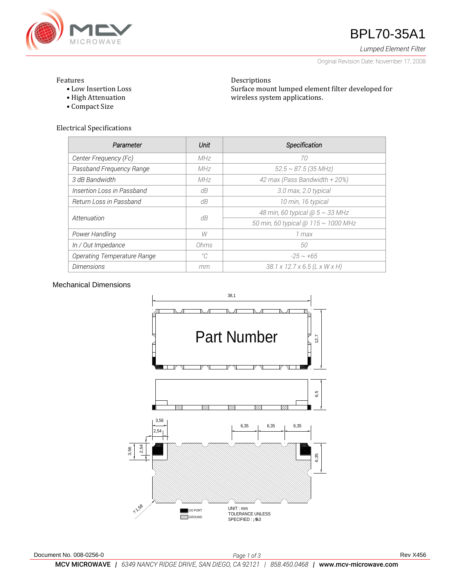

# **47** BPL70-35A1

*Lumped Element Filter*

Original Revision Date: November 17, 2008

### Features

- Low Insertion Loss
- High Attenuation
- Compact Size

Electrical Specifications

| Parameter                   | Unit        | Specification                       |
|-----------------------------|-------------|-------------------------------------|
| Center Frequency (Fc)       | MHz         | 70                                  |
| Passband Frequency Range    | MHz         | $52.5 \sim 87.5$ (35 MHz)           |
| 3 dB Bandwidth              | MHz         | 42 max (Pass Bandwidth + 20%)       |
| Insertion Loss in Passband  | dB          | 3.0 max, 2.0 typical                |
| Return Loss in Passband     | dB          | 10 min, 16 typical                  |
| Attenuation                 | dB          | 48 min, 60 typical $@5 \sim 33$ MHz |
|                             |             | 50 min, 60 typical @ 115 ~ 1000 MHz |
| Power Handling              | W           | 1 max                               |
| In / Out Impedance          | Ohms        | 50                                  |
| Operating Temperature Range | $^{\circ}C$ | $-25 \sim +65$                      |
| <b>Dimensions</b>           | mm          | 38.1 x 12.7 x 6.5 (L x W x H)       |

Descriptions

wireless system applications.

Surface mount lumped element filter developed for

# Mechanical Dimensions

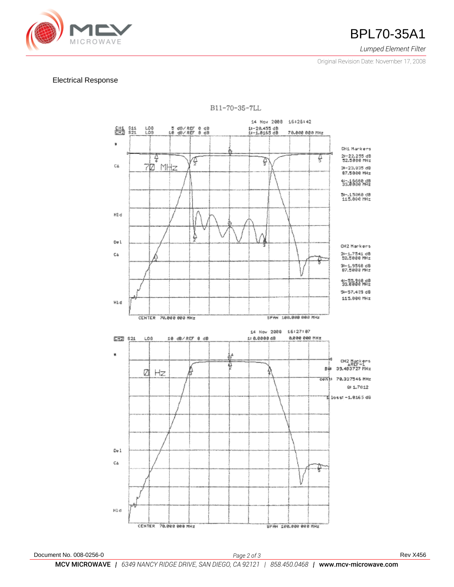

*Lumped Element Filter*

Original Revision Date: November 17, 2008

## Electrical Response



B11-70-35-7LL